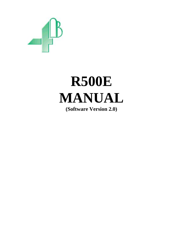

# **R500E MANUAL (Software Version 2.0)**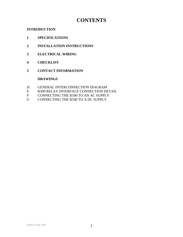# **CONTENTS**

# **INTRODUCTION**

- **1 SPECIFICATIONS**
- **2 INSTALLATION INSTRUCTIONS**
- **3 ELECTRICAL WIRING**
- **4 CHECKLIST**
- **5 CONTACT INFORMATION**

# **DRAWINGS**

- D GENERAL INTERCONNECTION DIAGRAM
- E R500 RELAY INTERFACE CONNECTION DETAIL
- F CONNECTING THE R500 TO AN AC SUPPLY
- G CONNECTING THE R500 TO A DC SUPPLY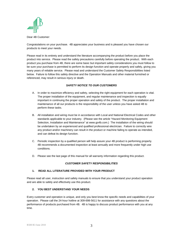

Dear 4B Customer:

Congratulations on your purchase. 4B appreciates your business and is pleased you have chosen our products to meet your needs.

Please read in its entirety and understand the literature accompanying the product before you place the product into service. Please read the safety precautions carefully before operating the product. With each product you purchase from 4B, there are some basic but important safety considerations you must follow to be sure your purchase is permitted to perform its design function and operate properly and safely, giving you many years of reliable service. Please read and understand the Customer Safety Responsibilities listed below. Failure to follow this safety directive and the Operation Manuals and other material furnished or referenced, may result in serious injury or death.

#### *SAFETY NOTICE TO OUR CUSTOMERS*

- A. In order to maximize efficiency and safety, selecting the right equipment for each operation is vital. The proper installation of the equipment, and regular maintenance and inspection is equally important in continuing the proper operation and safety of the product. The proper installation and maintenance of all our products is the responsibility of the user unless you have asked 4B to perform these tasks.
- B. All installation and wiring must be in accordance with Local and National Electrical Codes and other standards applicable to your industry. (Please see the article "Hazard Monitoring Equipment Selection, Installation and Maintenance" at www.go4b.com.) The installation of the wiring should be undertaken by an experienced and qualified professional electrician. Failure to correctly wire any product and/or machinery can result in the product or machine failing to operate as intended, and can defeat its design function.
- C. Periodic inspection by a qualified person will help assure your 4B product is performing properly. 4B recommends a documented inspection at least annually and more frequently under high use conditions.
- D. Please see the last page of this manual for all warranty information regarding this product.

#### *CUSTOMER SAFETY RESPONSIBILITIES*

#### **1. READ ALL LITERATURE PROVIDED WITH YOUR PRODUCT**

Please read all user, instruction and safety manuals to ensure that you understand your product operation and are able to safely and effectively use this product.

#### **2. YOU BEST UNDERSTAND YOUR NEEDS**

Every customer and operation is unique, and only you best know the specific needs and capabilities of your operation. Please call the 24-hour hotline at 309-698-5611 for assistance with any questions about the performance of products purchased from 4B. 4B is happy to discuss product performance with you at any time.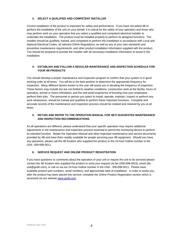#### **3. SELECT A QUALIFIED AND COMPETENT INSTALLER**

Correct installation of the product is important for safety and performance. If you have not asked 4B to perform the installation of the unit on your behalf, it is critical for the safety of your operation and those who may perform work on your operation that you select a qualified and competent electrical installer to undertake the installation. The product must be installed properly to perform its designed functions. The installer should be qualified, trained, and competent to perform the installation in accordance with Local and National Electrical Codes, all relevant OSHA Regulations, as well as any of your own standards and preventive maintenance requirements, and other product installation information supplied with the product. You should be prepared to provide the installer with all necessary installation information to assist in the installation.

#### **4. ESTABLISH AND FOLLOW A REGULAR MAINTENANCE AND INSPECTION SCHEDULE FOR YOUR 4B PRODUCTS**

You should develop a proper maintenance and inspection program to confirm that your system is in good working order at all times. You will be in the best position to determine the appropriate frequency for inspection. Many different factors known to the user will assist you in deciding the frequency of inspection. These factors may include but are not limited to weather conditions; construction work at the facility; hours of operation; animal or insect infestation; and the real-world experience of knowing how your employees perform their jobs. The personnel or person you select to install, operate, maintain, inspect or perform any work whatsoever, should be trained and qualified to perform these important functions. Complete and accurate records of the maintenance and inspection process should be created and retained by you at all times.

#### **5. RETAIN AND REFER TO THE OPERATION MANUAL FOR 4B'S SUGGESTED MAINTENANCE AND INSPECTION RECOMMENDATIONS**

As all operations are different, please understand that your specific operation may require additional adjustments in the maintenance and inspection process essential to permit the monitoring device to perform its intended function. Retain the Operation Manual and other important maintenance and service documents provided by 4B and have them readily available for people servicing your 4B equipment. Should you have any questions, please call the 4B location who supplied the product or the 24-hour hotline number in the USA -309-698-5611.

#### **6. SERVICE REQUEST AND ONLINE PRODUCT REGISTRATION**

If you have questions or comments about the operation of your unit or require the unit to be serviced please contact the 4B location who supplied the product or send your request via fax (309-698-5615), email (4busa@go4b.com), or call us via our 24-hour hotline number in the USA - 309-698-5611. Please have available product part numbers, serial numbers, and approximate date of installation. In order to assist you, after the product has been placed into service, complete the Online Product Registration section which is accessed via our website [www.go4b.com](http://www.go4b.com/)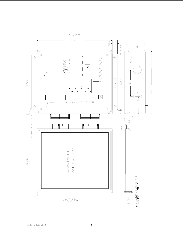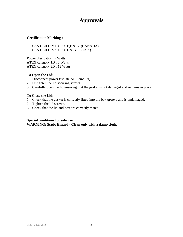# **Approvals**

# **Certification Markings:**

 CSA CLII DIV1 GP's E,F & G (CANADA)  $CSA CLII DIV2 GP's F & G (USA)$ 

Power dissipation in Watts ATEX category 1D : 6 Watts ATEX category 2D : 12 Watts

# **To Open the Lid:**

- 1. Disconnect power (isolate ALL circuits)
- 2. Untighten the lid securing screws
- 3. Carefully open the lid ensuring that the gasket is not damaged and remains in place

# **To Close the Lid:**

- 1. Check that the gasket is correctly fitted into the box groove and is undamaged.
- 2. Tighten the lid screws.
- 3. Check that the lid and box are correctly mated.

**Special conditions for safe use: WARNING: Static Hazard - Clean only with a damp cloth.**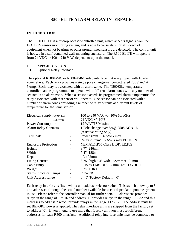# **R500 ELITE ALARM RELAY INTERFACE.**

# **INTRODUCTION**

The R500 ELITE is a microprocessor-controlled unit, which accepts signals from the HOTBUS sensor monitoring system, and is able to cause alarm or shutdown of equipment when hot bearings or other programmed sensors are detected. The control unit is housed in a self-contained wall-mounting enclosure. The R500 ELITE will operate from 24 VDC or 100 – 240 VAC dependent upon the model.

# **1. SPECIFICATION**

1.1 Optional Relay Interface.

The optional R5004V4C or R5004V46C relay interface unit is equipped with 16 alarm zone relays. Each relay provides a single pole changeover contact rated 250V AC at 5Amp. Each relay is associated with an alarm zone. The T500Elite temperature controller can be programmed to operate with different alarm zones with any number of sensors in an alarm zone. When a sensor exceeds its programmed alarm temperature, the relay associated with that sensor will operate. One sensor can be associated with a number of alarm zones providing a number of relay outputs at different levels of temperature for the same sensor.

| Electrical Supply R5004V46C   | 100 to 240 VAC +/- 10% 50/60Hz              |
|-------------------------------|---------------------------------------------|
| R5004V4C                      | 24 VDC +/- 10%                              |
| <b>Power Consumption</b>      | 12 WATTS Maximum                            |
| <b>Alarm Relay Contacts</b>   | 1 Pole change over 5A@ 250VAC x 16          |
|                               | (resistive rating only)                     |
| Terminals                     | Power 4mm <sup>2</sup> 14 AWG max           |
|                               | Relay 2.5mm <sup>2</sup> 16 AWG max PLUG IN |
| <b>Enclosure Protection</b>   | NEMA12, IP55, Class II DIVI, E, F, G        |
| Height                        | 9.7", 246mm                                 |
| Width                         | 7.4", 188mm                                 |
| Depth                         | $4$ ", 102mm                                |
| <b>Fixing Centres</b>         | 8.75" high x 4" wide, 222mm x 102mm         |
| <b>Cable Entry</b>            | 2 Holes 11/8" DIA, 28mm, 3/4" CONDUIT       |
| Weight                        | $3$ lbs, $1.3$ Kg                           |
| <b>Status Indicator Lamps</b> | <b>POWER</b>                                |
| Unit Address range            | $0 - 7$ (Factory Default = 0)               |
|                               |                                             |

Each relay interface is fitted with a unit address selector switch. This switch allow up to 8 unit addresses although the actual number available for use is dependant upon the system in use. Please refer to the controller manual for further detail. Address '0' provides relays in the range of 1 to 16 and address '1' provides relays in the range  $17 - 32$  and this increases to address 7 which provide relays in the range 112 - 128. The address must be set BEFORE power is applied. The relay interface units are shipped from the factory set to address '0'. If you intend to use more than 1 relay unit you must set different addresses for each R500 interface. Additional relay interface units may be connected to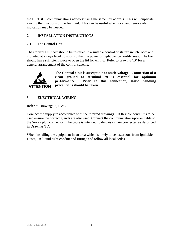the HOTBUS communications network using the same unit address. This will duplicate exactly the functions of the first unit. This can be useful when local and remote alarm indication may be needed.

# **2 INSTALLATION INSTRUCTIONS**

# 2.1 The Control Unit

The Control Unit box should be installed in a suitable control or starter switch room and mounted at an eye level position so that the power on light can be readily seen. The box should have sufficient space to open the lid for wiring. Refer to drawing 'D' for a general arrangement of the control scheme.



**The Control Unit is susceptible to static voltage. Connection of a clean ground to terminal 29 is essential for optimum performance. Prior to this connection, static handling precautions should be taken.** 

# **3 ELECTRICAL WIRING**

Refer to Drawings E, F & G

Connect the supply in accordance with the referred drawings. If flexible conduit is to be used ensure the correct glands are also used. Connect the communications/power cable to the 5-way plug connector. The cable is intended to de daisy chain connected as described in Drawing 'H'.

When installing the equipment in an area which is likely to be hazardous from Ignitable Dusts, use liquid tight conduit and fittings and follow all local codes.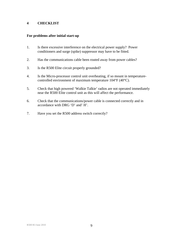# **4 CHECKLIST**

#### **For problems after initial start-up**

- 1. Is there excessive interference on the electrical power supply? Power conditioners and surge (spike) suppressor may have to be fitted.
- 2. Has the communications cable been routed away from power cables?
- 3. Is the R500 Elite circuit properly grounded?
- 4. Is the Micro-processor control unit overheating, if so mount in temperaturecontrolled environment of maximum temperature 104°F (40°C).
- 5. Check that high powered 'Walkie Talkie' radios are not operated immediately near the R500 Elite control unit as this will affect the performance.
- 6. Check that the communications/power cable is connected correctly and in accordance with DRG 'D' and' H'.
- 7. Have you set the R500 address switch correctly?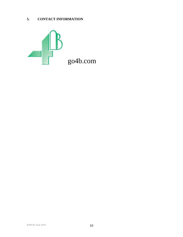# **5. CONTACT INFORMATION**

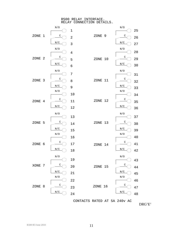#### R500 RELAY INTERFACE. RELAY CONNECTION DETAILS.



CONTACTS RATED AT 5A 240v AC

DRG'E'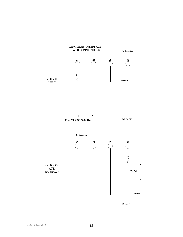

**DRG 'G'**